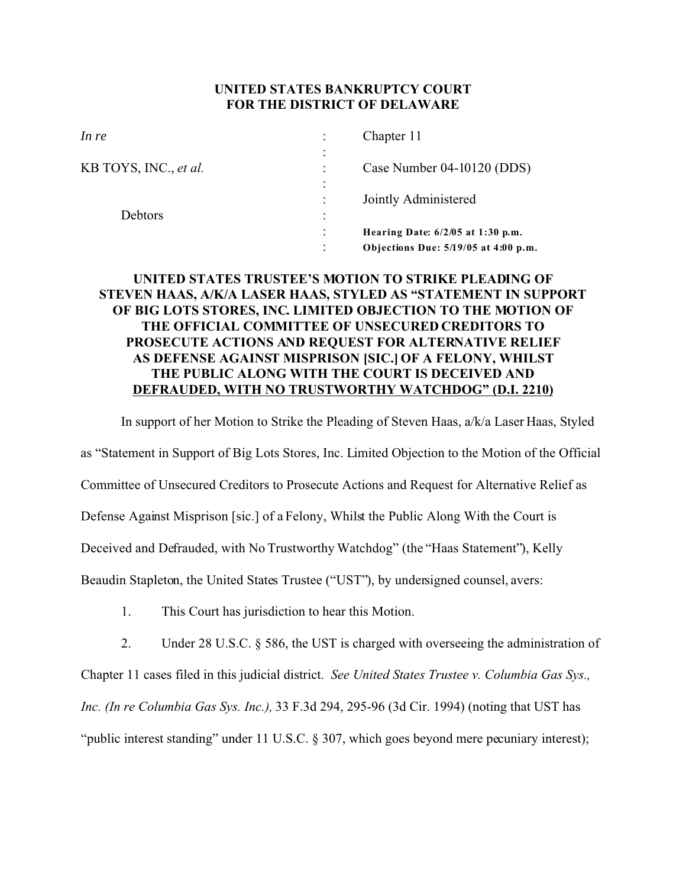## **UNITED STATES BANKRUPTCY COURT FOR THE DISTRICT OF DELAWARE**

| In re                 |           | Chapter 11                           |
|-----------------------|-----------|--------------------------------------|
| KB TOYS, INC., et al. |           | Case Number 04-10120 (DDS)           |
| Debtors               | $\bullet$ | Jointly Administered                 |
|                       |           | Hearing Date: $6/2/05$ at 1:30 p.m.  |
|                       |           | Objections Due: 5/19/05 at 4:00 p.m. |

## **UNITED STATES TRUSTEE'S MOTION TO STRIKE PLEADING OF STEVEN HAAS, A/K/A LASER HAAS, STYLED AS "STATEMENT IN SUPPORT OF BIG LOTS STORES, INC. LIMITED OBJECTION TO THE MOTION OF THE OFFICIAL COMMITTEE OF UNSECURED CREDITORS TO PROSECUTE ACTIONS AND REQUEST FOR ALTERNATIVE RELIEF AS DEFENSE AGAINST MISPRISON [SIC.] OF A FELONY, WHILST THE PUBLIC ALONG WITH THE COURT IS DECEIVED AND DEFRAUDED, WITH NO TRUSTWORTHY WATCHDOG" (D.I. 2210)**

In support of her Motion to Strike the Pleading of Steven Haas, a/k/a Laser Haas, Styled as "Statement in Support of Big Lots Stores, Inc. Limited Objection to the Motion of the Official Committee of Unsecured Creditors to Prosecute Actions and Request for Alternative Relief as Defense Against Misprison [sic.] of a Felony, Whilst the Public Along With the Court is Deceived and Defrauded, with No Trustworthy Watchdog" (the "Haas Statement"), Kelly Beaudin Stapleton, the United States Trustee ("UST"), by undersigned counsel, avers:

- 1. This Court has jurisdiction to hear this Motion.
- 2. Under 28 U.S.C. § 586, the UST is charged with overseeing the administration of

Chapter 11 cases filed in this judicial district. *See United States Trustee v. Columbia Gas Sys.,*

*Inc. (In re Columbia Gas Sys. Inc.),* 33 F.3d 294, 295-96 (3d Cir. 1994) (noting that UST has

"public interest standing" under 11 U.S.C. § 307, which goes beyond mere pecuniary interest);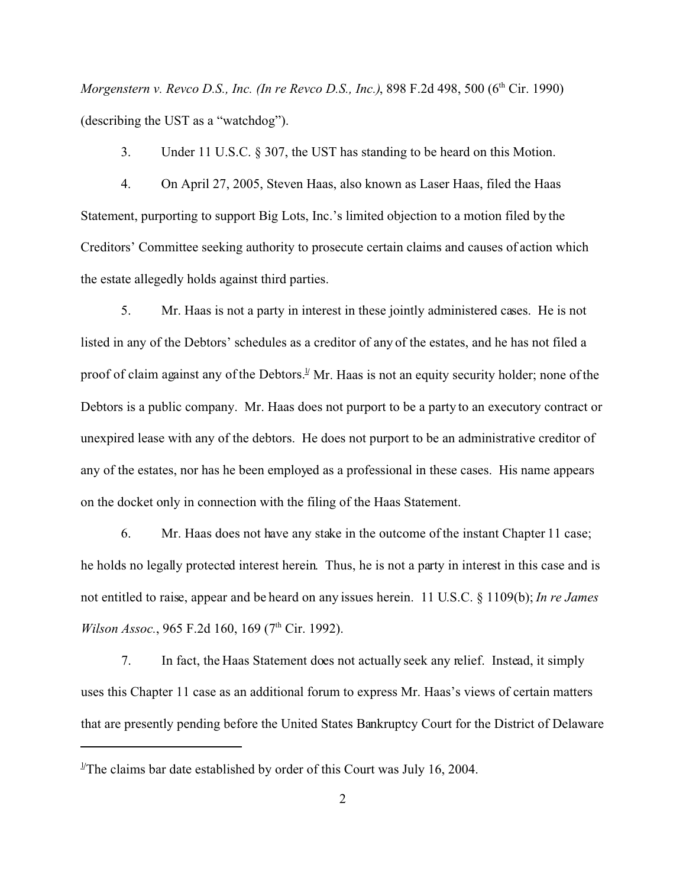*Morgenstern v. Revco D.S., Inc. (In re Revco D.S., Inc.)*, 898 F.2d 498, 500 (6<sup>th</sup> Cir. 1990) (describing the UST as a "watchdog").

3. Under 11 U.S.C. § 307, the UST has standing to be heard on this Motion.

4. On April 27, 2005, Steven Haas, also known as Laser Haas, filed the Haas Statement, purporting to support Big Lots, Inc.'s limited objection to a motion filed by the Creditors' Committee seeking authority to prosecute certain claims and causes of action which the estate allegedly holds against third parties.

5. Mr. Haas is not a party in interest in these jointly administered cases. He is not listed in any of the Debtors' schedules as a creditor of any of the estates, and he has not filed a proof of claim against any of the Debtors.<sup>1</sup> Mr. Haas is not an equity security holder; none of the Debtors is a public company. Mr. Haas does not purport to be a party to an executory contract or unexpired lease with any of the debtors. He does not purport to be an administrative creditor of any of the estates, nor has he been employed as a professional in these cases. His name appears on the docket only in connection with the filing of the Haas Statement.

6. Mr. Haas does not have any stake in the outcome of the instant Chapter 11 case; he holds no legally protected interest herein. Thus, he is not a party in interest in this case and is not entitled to raise, appear and be heard on any issues herein. 11 U.S.C. § 1109(b); *In re James Wilson Assoc.*, 965 F.2d 160, 169 (7<sup>th</sup> Cir. 1992).

7. In fact, the Haas Statement does not actually seek any relief. Instead, it simply uses this Chapter 11 case as an additional forum to express Mr. Haas's views of certain matters that are presently pending before the United States Bankruptcy Court for the District of Delaware

<sup>&</sup>lt;sup>1/</sup>The claims bar date established by order of this Court was July 16, 2004.